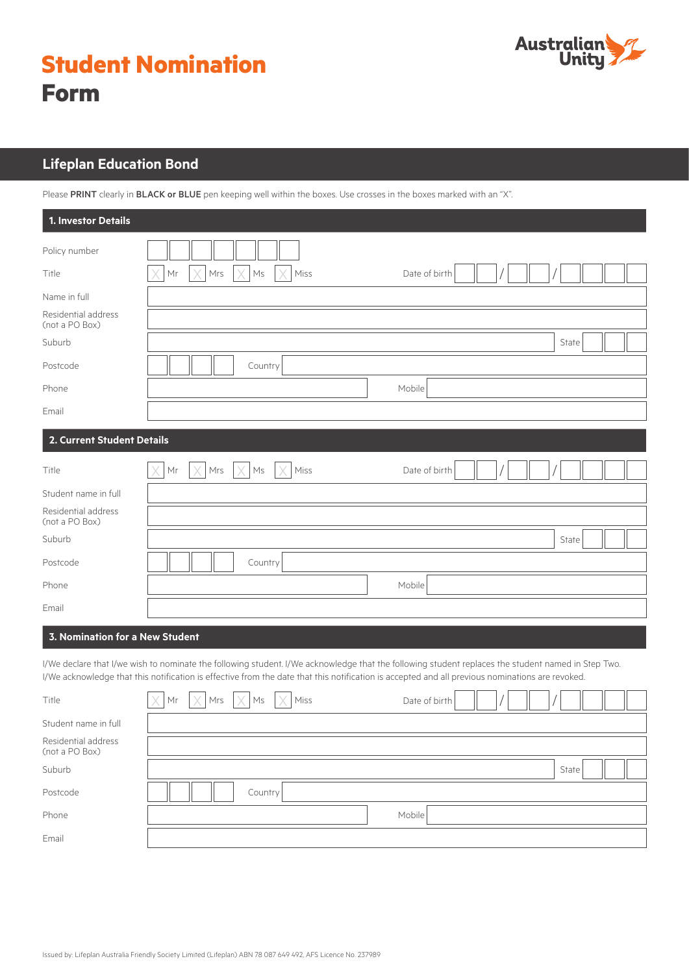

|             | <b>Student Nomination</b> |
|-------------|---------------------------|
| <b>Form</b> |                           |

# **Lifeplan Education Bond**

Please PRINT clearly in BLACK or BLUE pen keeping well within the boxes. Use crosses in the boxes marked with an "X".

| 1. Investor Details                                           |                                                                                                                                                                                                                                                                                                       |
|---------------------------------------------------------------|-------------------------------------------------------------------------------------------------------------------------------------------------------------------------------------------------------------------------------------------------------------------------------------------------------|
| Policy number                                                 |                                                                                                                                                                                                                                                                                                       |
| Title                                                         | Mrs<br>Ms<br>Miss<br>Date of birth<br>Mr                                                                                                                                                                                                                                                              |
| Name in full                                                  |                                                                                                                                                                                                                                                                                                       |
| Residential address<br>(not a PO Box)                         |                                                                                                                                                                                                                                                                                                       |
| Suburb                                                        | State                                                                                                                                                                                                                                                                                                 |
| Postcode                                                      | Country                                                                                                                                                                                                                                                                                               |
| Phone                                                         | Mobile                                                                                                                                                                                                                                                                                                |
| Email                                                         |                                                                                                                                                                                                                                                                                                       |
| 2. Current Student Details                                    |                                                                                                                                                                                                                                                                                                       |
| Title                                                         | Mr<br>Mrs<br>Ms<br>Miss<br>Date of birth                                                                                                                                                                                                                                                              |
| Student name in full<br>Residential address<br>(not a PO Box) |                                                                                                                                                                                                                                                                                                       |
| Suburb                                                        | State                                                                                                                                                                                                                                                                                                 |
| Postcode                                                      | Country                                                                                                                                                                                                                                                                                               |
| Phone                                                         | Mobile                                                                                                                                                                                                                                                                                                |
| Email                                                         |                                                                                                                                                                                                                                                                                                       |
| 3. Nomination for a New Student                               |                                                                                                                                                                                                                                                                                                       |
|                                                               | I/We declare that I/we wish to nominate the following student. I/We acknowledge that the following student replaces the student named in Step Two.<br>I/We acknowledge that this notification is effective from the date that this notification is accepted and all previous nominations are revoked. |
| Title                                                         | Mrs<br>Ms<br>Miss<br>Mr<br>Date of birth                                                                                                                                                                                                                                                              |
| Student name in full                                          |                                                                                                                                                                                                                                                                                                       |
| Residential address<br>(not a PO Box)                         |                                                                                                                                                                                                                                                                                                       |

Suburb State **Suburb State Suburb State State State** Suburb State Suburb State State Suburb State State State State State State State State State State State State State State State State State State State State State Stat Postcode  $\|\|\|\|\|\|$  Country

Phone Mobile Research Andrew Mobile Mobile Research Mobile Mobile Mobile Mobile Mobile Mobile Mobile Mobile Mo

Email